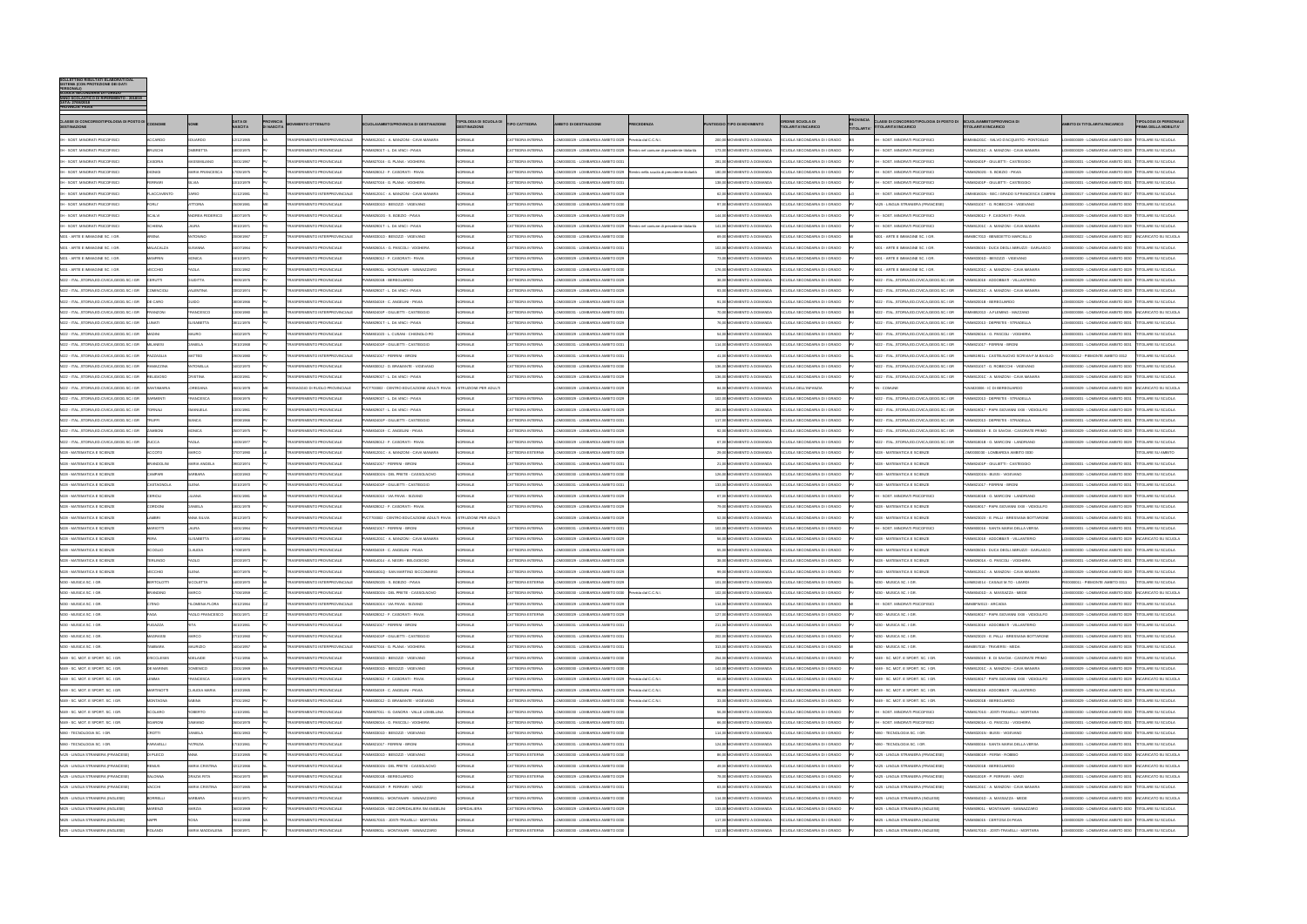| <b>BOLLETTINO RISULTATI ELABORATI DAL</b><br>SISTEMA (CON PROTEZIONE DEI DATI<br><b>PERSONAL</b><br><b>SCUOLA SECONDARIA DI I GRADO</b><br>O SCOLASTICO DI RIFERIMENTO : 2018/19<br>DATA: 27/06/2018<br><b>PROVINCIA: PAVIA</b> |                                  |                                      |                                  |                                       |                                                                      |                                                                                  |                                  |                                      |                                                                                           |                                           |       |                                                          |                                                              |                  |                                                                                            |                                                                                    |                                                                                             |                                                             |
|---------------------------------------------------------------------------------------------------------------------------------------------------------------------------------------------------------------------------------|----------------------------------|--------------------------------------|----------------------------------|---------------------------------------|----------------------------------------------------------------------|----------------------------------------------------------------------------------|----------------------------------|--------------------------------------|-------------------------------------------------------------------------------------------|-------------------------------------------|-------|----------------------------------------------------------|--------------------------------------------------------------|------------------|--------------------------------------------------------------------------------------------|------------------------------------------------------------------------------------|---------------------------------------------------------------------------------------------|-------------------------------------------------------------|
| CLASSE DI CONCORSO/TIPOLOGIA DI POSTO DI<br><b>DESTINAZIONE</b>                                                                                                                                                                 |                                  |                                      | <b>DATA DI</b><br><b>NASCITA</b> | <b>PROVINCIA</b><br><b>DI NASCITA</b> | <b>IMENTO OTTENUTO</b>                                               | <b>CUOLA/AMBITO/PROVINCIA DI DESTINAZIONE</b>                                    | <b>IPOLOGIA DI SCUOLA DI</b>     | <b>TIPO CATTEDRA</b>                 | <b>BITO DI DESTINAZIONE</b>                                                               | RECEDENZA                                 |       | TIPO DI MOVIMENTO                                        | <b>ORDINE SCUOLA DI</b><br>TIOLARITA'/INCARICO               | <b>TITOLARTA</b> | CLASSI DI CONCORSO/TIPOLOGIA DI POSTO DI SCUOLA/AMBITO/PROVINCIA DI<br>ITOLARITA'/INCARICO | TOLARITA'/INCARICO                                                                 | <b>ITO DI TITOLARITA'/INCARICO</b>                                                          | <b>TIPOLOGIA DI PERSONAL</b><br><b>RIMA DELLA MOBILITA'</b> |
| EH - SOST. MINORATI PSICOFISICI                                                                                                                                                                                                 | <b>ACCARDO</b>                   | EDUARDO                              | 12/12/1965                       |                                       | <b>TRASFERIMENTO INTERPROVINCIALE</b>                                | PVMM81201C - A. MANZONI - CAVA MANARA                                            | <b>NORMALE</b>                   | CATTEDRA INTERNA                     | OM0000029 - LOMBARDIA AMBITO 0029 Prevista dal C.C.N.                                     |                                           |       | 200.00 MOVIMENTO A DOMANDA                               | SCUOLA SECONDARIA DI I GRADO                                 |                  | <b>H - SOST. MINORATI PSICOFISIC</b>                                                       | BSMM84201C - SALVO D'ACQUISTO - PONTOGLIO                                          | OM0000009 - LOMBARDIA AMBITO 0009                                                           | <b>TITOLARE SU SCUOLA</b>                                   |
| - SOST. MINORATI PSICOFISIO<br>EH - SOST, MINORATI PSICOFISIC                                                                                                                                                                   | RUSCH<br>CASORIA                 | <b>BRETTA</b><br><b>MASSIMILIANC</b> | 8/03/1975<br>25/01/1967          |                                       | RASFERIMENTO PROVINCIALI<br><b>TRASFERIMENTO PROVINCIALE</b>         | MM82901T - L. DA VINCI - PAVIA<br><sup>2</sup> VMM827016 - G. PLANA - VOGHERA    | ORMALE<br>VORMALE                | ATTEDRA INTERNA<br>CATTEDRA INTERNA  | M0000029 - LOMBARDIA AMBITO 0029<br>OM0000031 - LOMBARDIA AMBITO 003                      | ientro nel comune di precedente titolarit |       | 173,00 MOVIMENTO A DOMANDA<br>281.00 MOVIMENTO A DOMANDA | CUOLA SECONDARIA DI I GRADO<br>SCUOLA SECONDARIA DI I GRADO  |                  | - SOST. MINORATI PSICOFISIO<br><b>H - SOST. MINORATI PSICOFISIC</b>                        | MM81201C - A. MANZONI - CAVA MANAR<br>WMM82401P - GIULIETTI - CASTEGGIO            | M0000029 - LOMBARDIA AMBITO 0029<br>OM0000031 - LOMBARDIA AMBITO 0031                       | TOLARE SU SCUOL<br><b>TITOLARE SU SCUOLA</b>                |
| EH - SOST, MINORATI PSICOFISIC                                                                                                                                                                                                  | <b>DIONIGI</b>                   | <b>IARIA FRANCESCA</b>               | 7/05/1975                        |                                       | <b>TRASFERIMENTO PROVINCIALE</b>                                     | VMM828012 - F. CASORATI - PAVIA                                                  | VORMALE                          | CATTEDRA INTERNA                     | OM0000029 - LOMBARDIA AMBITO 0029 Rientro nella scuola di precedente titolarità           |                                           |       | 180,00 MOVIMENTO A DOMANDA                               | SCUOLA SECONDARIA DI I GRADO                                 |                  | H - SOST. MINORATI PSICOFISICI                                                             | VMM82502G - S. BOEZIO - PAVIA                                                      | M0000029 - LOMBARDIA AMBITO 0029 TITOLARE SU SCUOLA                                         |                                                             |
| H - SOST. MINORATI PSICOFISIC                                                                                                                                                                                                   | FERRARI                          |                                      | 0/10/1979                        |                                       | RASFERIMENTO PROVINCIALE                                             | WM827016 - G. PLANA - VOGHERA                                                    | <b>IORMALE</b>                   | CATTEDRA INTERNA                     | M0000031 - LOMBARDIA AMBITO 003                                                           |                                           |       | 138,00 MOVIMENTO A DOMANDA                               | SCUOLA SECONDARIA DI I GRADO                                 |                  | H - SOST. MINORATI PSICOFISIO                                                              | MM82401P - GIULIETTI - CASTEGGIO                                                   | M0000031 - LOMBARDIA AMBITO 0031                                                            | <b>TITOLARE SU SCUOLA</b>                                   |
| EH - SOST. MINORATI PSICOFISICI                                                                                                                                                                                                 | <b><i>FLACCAVENTO</i></b>        | ARIO                                 | 31/12/1981                       |                                       | <b>TRASFERIMENTO INTERPROVINCIALE</b>                                | VMM81201C - A. MANZONI - CAVA MANARA                                             | VORMALE                          | CATTEDRA INTERNA                     | OM0000029 - LOMBARDIA AMBITO 0029                                                         |                                           |       | 62,00 MOVIMENTO A DOMANDA                                | SCUOLA SECONDARIA DI I GRADO                                 |                  | H - SOST. MINORATI PSICOFISIC                                                              | LOMM81601N - SEC.I GRADO S.FRANCESCA CABRINI                                       | OM0000017 - LOMBARDIA AMBITO 0017                                                           | TITOLARE SU SCUOLA                                          |
| H - SOST, MINORATI PSICOFISICI                                                                                                                                                                                                  | T IRO <sup>=</sup>               | <b>ITTORIA</b>                       | 25/09/1981                       |                                       | <b>TRASFERIMENTO PROVINCIALE</b>                                     | VMM83301D - BESOZZI - VIGEVANO                                                   | <b>JORMALE</b>                   | CATTEDRA INTERNA                     | OM0000030 - LOMBARDIA AMBITO 0030                                                         |                                           |       | 97.00 MOVIMENTO A DOMANDA                                | SCUOLA SECONDARIA DI I GRADO                                 |                  | 4425 - LINGUA STRANIFRA (FRANCESE)                                                         | WMM83101T - G. ROBECCHI - VIGEVANO                                                 | M0000030 - LOMBARDIA AMBITO 0030                                                            | TITOLARE SU SCUOLA                                          |
| EH - SOST, MINORATI PSICOFISIC                                                                                                                                                                                                  | SCALVI                           | <b>INDREA FEDERICO</b>               | 18/07/1975                       |                                       | <b>TRASFFRIMENTO PROVINCIALE</b>                                     | VMM82502G - S. BOEZIO - PAVIA                                                    | VORMALE                          | CATTEDRA INTERNA                     | OM0000029 - LOMBARDIA AMBITO 0029                                                         |                                           |       | 144.00 MOVIMENTO A DOMANDA                               | SCUOLA SECONDARIA DI I GRADO                                 |                  | EH - SOST. MINORATI PSICOFISIC                                                             | VMM828012 - F CASORATI - PAVIA                                                     | MODOO29 - LOMBAR DIA AMBITO 0029                                                            | <b>TITOLARE SU SCUOLA</b>                                   |
| EH - SOST. MINORATI PSICOFISIC                                                                                                                                                                                                  | <b>SCHIENA</b>                   | AURA                                 | 9/10/1971                        |                                       | <b>TRASFERIMENTO PROVINCIAL</b>                                      | MM82901T - L. DA VINCI - PAVIA                                                   | VORMALE                          | CATTEDRA INTERNA                     | M0000029 - LOMBARDIA AMBITO 0029                                                          | ientro nel comune di precedente titolarit |       | 141,00 MOVIMENTO A DOMANDA                               | CUOLA SECONDARIA DI I GRADO                                  |                  | <b>1 - SOST. MINORATI PSICOFISIC</b>                                                       | VMM81201C - A. MANZONI - CAVA MANAR                                                | OM0000029 - LOMBARDIA AMBITO 0029                                                           | <b>ITOLARE SU SCUOLA</b>                                    |
| 4001 - ARTE E IMMAGINE SC. I GR.                                                                                                                                                                                                | ARENA                            | <b>INTONINC</b>                      | 20/08/1967                       |                                       | TRASFERIMENTO INTERPROVINCIALE                                       | PVMM83301D - BESOZZI - VIGEVANO                                                  | NORMALE                          | CATTEDRA INTERNA                     | OM0000030 - LOMBARDIA AMBITO 0030                                                         |                                           |       | 69.00 MOVIMENTO A DOMANDA                                | SCUOLA SECONDARIA DI I GRADO                                 |                  | A001 - ARTE E IMMAGINE SC. I GR                                                            | IMMRC7013 - RENEDETTO MARCELLO                                                     | OMODOD22 - LOMBAR DIA AMBITO 0022 INCARICATO SLI SCLIOLA                                    |                                                             |
| 001 - ARTE E IMMAGINE SC. I GR                                                                                                                                                                                                  | <b>MALACALZA</b>                 | <b>USANN</b>                         | 24/07/1964                       |                                       | <b>TRASFERIMENTO PROVINCIALE</b>                                     | MM82601A - G. PASCOLI - VOGHERA                                                  | VORMALE                          | CATTEDRA INTERNA                     | OM0000031 - LOMBARDIA AMBITO 0031                                                         |                                           |       | 102,00 MOVIMENTO A DOMANDA                               | SCUOLA SECONDARIA DI I GRADO                                 |                  | A001 - ARTE E IMMAGINE SC. I GR                                                            | VMM835015 - DUCA DEGLI ABRUZZI - GARLASCO                                          | OM0000030 - LOMBARDIA AMBITO 0030                                                           | TITOLARE SU SCUOLA                                          |
| 4001 - ARTE E IMMAGINE SC. I GR                                                                                                                                                                                                 | <b>MANFRIN</b>                   | <b>MONICA</b>                        | 6/10/1971                        |                                       | <b>TRASFERIMENTO PROVINCIALE</b>                                     | WMM828012 - F. CASORATI - PAVIA                                                  | VORMALE                          | CATTEDRA INTERNA                     | M0000029 - LOMBARDIA AMBITO 0029                                                          |                                           |       | 73,00 MOVIMENTO A DOMANDA                                | SCUOLA SECONDARIA DI I GRADO                                 |                  | A001 - ARTE E IMMAGINE SC. I GR                                                            | VMM83301D - BESOZZI - VIGEVANO                                                     | OM0000030 - LOMBARDIA AMBITO 0030                                                           | TITOLARE SU SCUOLA                                          |
| 001 - ARTE E IMMAGINE SC. I GR.                                                                                                                                                                                                 | <b>VECCHIO</b>                   | <b>AOLA</b>                          | 23/01/1962                       |                                       | RASFERIMENTO PROVINCIALE                                             | VMM80901L - MONTANARI - SANNAZZARO                                               | VORMALE                          | CATTEDRA INTERNA                     | M0000030 - LOMBARDIA AMBITO 0030                                                          |                                           |       | 176,00 MOVIMENTO A DOMANDA                               | SCUOLA SECONDARIA DI I GRADO                                 |                  | 001 - ARTE E IMMAGINE SC. I GR                                                             | VMM81201C - A. MANZONI - CAVA MANARA                                               | M0000029 - LOMBARDIA AMBITO 0029                                                            | <b>ITOLARE SU SCUOLA</b>                                    |
| A022 - ITAL., STORIA, ED.CIVICA, GEOG.SC.I GR                                                                                                                                                                                   | <b>CERUTTI</b>                   | <b>GILIDITTA</b>                     | 29/05/1976                       |                                       | <b>TRASFERIMENTO PROVINCIALE</b>                                     | VMM82001B - BEREGUARDO                                                           | VORMALE                          | CATTEDRA INTERNA                     | OM0000029 - LOMBARDIA AMBITO 0029                                                         |                                           |       | 38.00 MOVIMENTO A DOMANDA                                | SCUOLA SECONDARIA DI I GRADO                                 |                  | 4022 - ITALSTORIA.ED.CIVICA.GEOG.SC.I GR                                                   | PVMM813018 - ADDOBBATI - VILLANTERIO                                               | OM0000029 - LOMBARDIA AMBITO 0029 TITOLARE SU SCUOLA                                        |                                                             |
| 4022 - ITAL., STORIA, ED.CIVICA, GEOG. SC.I GR                                                                                                                                                                                  | COMINCIOL                        | <b>/ALENTINA</b>                     | 03/02/1974                       |                                       | <b>TRASFERIMENTO PROVINCIALE</b><br><b>TRASFERIMENTO PROVINCIALE</b> | VMM82901T - L. DA VINCI - PAVIA                                                  | VORMALE                          | CATTEDRA INTERNA                     | OM0000029 - LOMBARDIA AMBITO 0029                                                         |                                           |       | 93,00 MOVIMENTO A DOMANDA                                | SCUOLA SECONDARIA DI I GRADO                                 |                  | 4022 - ITAL., STORIA, ED.CIVICA, GEOG.SC.I GR                                              | VMM81201C - A. MANZONI - CAVA MANAR/                                               | OM0000029 - LOMBARDIA AMBITO 0029 TITOLARE SU SCUOLA                                        |                                                             |
| 022 - ITAL., STORIA, ED.CIVICA, GEOG. SC. I GR<br>A022 - ITALSTORIA.ED.CIVICA.GEOG.SC.I GR                                                                                                                                      | DE CARO<br>FRANZON               | חוווה?<br><b>FRANCESCO</b>           | 08/08/1966<br>13/06/1980         |                                       | <b>TRASFERIMENTO INTERPROVINCIALE</b>                                | VMM834019 - C. ANGELINI - PAVIA<br>PVMM82401P - GIULIETTI - CASTEGGIO            | VORMALE<br><b>VORMALE</b>        | CATTEDRA INTERNA<br>CATTEDRA INTERNA | M0000029 - LOMBARDIA AMBITO 0029<br>OM0000031 - LOMBARDIA AMBITO 0031                     |                                           |       | 91,00 MOVIMENTO A DOMANDA<br>70.00 MOVIMENTO A DOMANDA   | SCUOLA SECONDARIA DI I GRADO<br>SCUOLA SECONDARIA DI I GRADO |                  | 022 - ITALSTORIA.ED.CIVICA.GEOG.SC.I GR<br>4022 - ITALSTORIA.ED.CIVICA.GEOG.SC.I GR        | WMM82001B - BEREGUARDC<br>SMM852013 - A.FLEMING - MAZZANO                          | M0000029 - LOMBARDIA AMBITO 0029<br>OM0000006 - LOMBARDIA AMBITO 0006 INCARICATO SU SCUOLA  | TITOLARE SU SCUOLA                                          |
| 022 - ITAL., STORIA, ED.CIVICA, GEOG. SC. I GR                                                                                                                                                                                  |                                  | LISABETTA                            | 08/11/1976                       |                                       | <b>TRASFERIMENTO PROVINCIALE</b>                                     | VMM82901T - L. DA VINCI - PAVIA                                                  | IORMALE                          | CATTEDRA INTERNA                     | M0000029 - LOMBARDIA AMBITO 0029                                                          |                                           |       | 76,00 MOVIMENTO A DOMANDA                                | <b>CUOLA SECONDARIA DI I GRADO</b>                           |                  | 4022 - ITAL., STORIA, ED.CIVICA, GEOG.SC.I GR                                              | MM822013 - DEPRETIS - STRADELL                                                     | 2M0000031 - LOMBARDIA AMBITO 0031                                                           | TITOLARE SU SCUOLA                                          |
| 4022 - ITAL., STORIA, ED.CIVICA, GEOG. SC.I GR                                                                                                                                                                                  | MADINI                           | <b>ALIRC</b>                         | 15/02/1975                       |                                       | RASFERIMENTO PROVINCIALE                                             | <b>MMR01023 - I CUSANI - CHIGNOLO PC</b>                                         | <b>IORMALE</b>                   | CATTEDRA INTERNA                     | M0000029 - LOMBAR DIA AMBITO 0029                                                         |                                           |       | 54.00 MOVIMENTO A DOMANDA                                | SCUOLA SECONDARIA DI I GRADO                                 |                  | 022 - ITALSTORIA.ED.CIVICA.GEOG.SC.I GR                                                    | MM82601A - G PASCOLL-VOGHERA                                                       | M0000031 - LOMBARDIA AMBITO 0031                                                            | TITOLARE SU SCUOLA                                          |
| 4022 - ITALSTORIA.ED.CIVICA.GEOG.SC.I GR                                                                                                                                                                                        |                                  | ANIELA                               | 9/10/1968                        |                                       | <b>TRASFERIMENTO PROVINCIALE</b>                                     | WM82401P - GIULIETTI - CASTEGGIO                                                 | <b>IORMALE</b>                   | CATTEDRA INTERNA                     | M0000031 - LOMBARDIA AMBITO 003                                                           |                                           |       | 114,00 MOVIMENTO A DOMANDA                               | SCUOLA SECONDARIA DI I GRADO                                 |                  | 022 - ITAL., STORIA, ED.CIVICA, GEOG.SC.I GR                                               | /MM821017 - FERRINI - BRON                                                         | OM0000031 - LOMBARDIA AMBITO 0031                                                           | <b>ITOLARE SU SCUOLA</b>                                    |
| 022 - ITAL., STORIA, ED.CIVICA, GEOG. SC. I GR                                                                                                                                                                                  | PAZZAGLIA                        | <b>MATTEO</b>                        | 29/05/1980                       |                                       | TRASFERIMENTO INTERPROVINCIALE                                       | PVMM821017 - FERRINI - BRON                                                      | VORMALE                          | CATTEDRA INTERNA                     | OM0000031 - LOMBARDIA AMBITO 0031                                                         |                                           |       | 41,00 MOVIMENTO A DOMANDA                                | SCUOLA SECONDARIA DI I GRADO                                 |                  | A022 - ITALSTORIA.ED.CIVICA.GEOG.SC.I GR                                                   | LMM81901L - CASTELNUOVO SCRIVIA-F.M.BAXILIO                                        | E0000012 - PIEMONTE AMBITO 0012                                                             | <b>TITOLARE SU SCUOLA</b>                                   |
| 4022 - ITAL., STORIA, ED.CIVICA, GEOG. SC. I GR                                                                                                                                                                                 | AMAZZINA                         | <b>NTONELLA</b>                      | 04/02/1970                       |                                       | RASFERIMENTO PROVINCIALE                                             | WMM830012 - D. BRAMANTE - VIGEVANO                                               | VORMALE                          | CATTEDRA INTERNA                     | OM0000030 - LOMBARDIA AMBITO 0030                                                         |                                           |       | 136.00 MOVIMENTO A DOMANDA                               | SCUOLA SECONDARIA DI I GRADO                                 |                  | 4022 - ITALSTORIA.ED.CIVICA.GEOG.SC.I GR                                                   | MM83101T - G. ROBECCHI - VIGEVANO                                                  | M0000030 - LOMBARDIA AMBITO 0030                                                            | <b>TITOLARE SU SCUOLA</b>                                   |
| 4022 - ITAL., STORIA, ED.CIVICA, GEOG. SC. I GR                                                                                                                                                                                 | <b>RELIGIOSO</b>                 | <b>CRISTINA</b>                      | 8/03/1961                        |                                       | <b>TRASFERIMENTO PROVINCIALE</b>                                     | VMM82901T - L. DA VINCI - PAVIA                                                  | VORMALE                          | CATTEDRA INTERNA                     | M0000029 - LOMBARDIA AMBITO 0029                                                          |                                           |       | 136.00 MOVIMENTO A DOMANDA                               | SCUOLA SECONDARIA DI I GRADO                                 |                  | 4022 - ITAL., STORIA, ED.CIVICA, GEOG.SC.I GR                                              | VMM81201C - A. MANZONI - CAVA MANAR/                                               | 2M0000029 - LOMBARDIA AMBITO 0029                                                           | <b>ITOLARE SU SCUOLA</b>                                    |
| 4022 - ITAL., STORIA, ED.CIVICA, GEOG. SC.I GR                                                                                                                                                                                  | <b>SANTAMARIA</b>                | OREDANA                              | 26/01/1978                       |                                       | ASSAGGIO DI RUOLO PROVINCIALE                                        | PVCT700002 - CENTRO EDUCAZIONE ADULTI PAVIA                                      | STRUZIONE PER ADULT              |                                      | M0000029 - LOMBARDIA AMBITO 0029                                                          |                                           |       | 84,00 MOVIMENTO A DOMANDA                                | SCUOLA DELL'INFANZIA                                         |                  | <b>IN - COMUNE</b>                                                                         | AA820006 - IC DI BEREGUARDO                                                        | OM0000029 - LOMBARDIA AMBITO 0029  INCARICATO SU SCUOLA                                     |                                                             |
| 022 - ITAL., STORIA, ED.CIVICA, GEOG. SC. I GR                                                                                                                                                                                  | SARMENTI                         | <b>FRANCESCA</b>                     | 30/06/1976                       |                                       | <b>TRASFERIMENTO PROVINCIALE</b>                                     | VMM82901T - L. DA VINCI - PAVI/                                                  | <b>IORMALE</b>                   | CATTEDRA INTERNA                     | OM0000029 - LOMBARDIA AMBITO 0029                                                         |                                           |       | 102,00 MOVIMENTO A DOMANDA                               | <b>CUOLA SECONDARIA DI I GRADO</b>                           |                  | 022 - ITAL., STORIA, ED.CIVICA, GEOG.SC.I GR                                               | VMM822013 - DEPRETIS - STRADELLA                                                   | OM0000031 - LOMBARDIA AMBITO 0031                                                           | TITOLARE SU SCUOLA                                          |
| 4022 - ITALSTORIA.ED.CIVICA.GEOG.SC.I GR                                                                                                                                                                                        | TORNAL                           | MANUELA                              | 13/01/1961                       |                                       | <b>TRASFERIMENTO PROVINCIALE</b>                                     | <sup>2</sup> VMM82901T - L. DA VINCI - PAVIA                                     | VORMALE                          | CATTEDRA INTERNA                     | OM0000029 - LOMBARDIA AMBITO 0029                                                         |                                           |       | 281.00 MOVIMENTO A DOMANDA                               | SCUOLA SECONDARIA DI I GRADO                                 |                  | A022 - ITALSTORIA.ED.CIVICA.GEOG.SC.I GR                                                   | VMM819017 - PAPA GIOVANNI XXIII - VIDIGULFO                                        | OM0000029 - LOMBARDIA AMBITO 0029 TITOLARE SU SCUOLA                                        |                                                             |
| 022 - ITAL., STORIA, ED.CIVICA, GEOG. SC. I GR                                                                                                                                                                                  |                                  |                                      | 0/08/1966                        |                                       | RASFERIMENTO PROVINCIALE                                             | MM82401P - GIULIETTI - CASTEGGIO                                                 | ORMALE                           | CATTEDRA INTERNA                     | M0000031 - LOMBARDIA AMBITO 003                                                           |                                           |       | 117,00 MOVIMENTO A DOMANDA                               | SCUOLA SECONDARIA DI I GRADO                                 |                  | 022 - ITAL., STORIA, ED.CIVICA, GEOG.SC.I GR                                               | MM822013 - DEPRETIS - STRADELLA                                                    | M0000031 - LOMBARDIA AMBITO 0031                                                            | <b>ITOLARE SU SCUOLA</b>                                    |
| A022 - ITALSTORIA.ED.CIVICA.GEOG.SC.I GR                                                                                                                                                                                        | ZAMBONI<br>ZUCCA                 | <b>MONICA</b><br>AOLA                | 25/07/1975                       |                                       | <b>TRASFERIMENTO PROVINCIALE</b><br><b>TRASFERIMENTO PROVINCIALE</b> | <sup>2</sup> VMM834019 - C. ANGELINI - PAVIA<br>VMM828012 - F. CASORATI - PAVIA  | VORMALE<br>VORMALE               | CATTEDRA INTERNA<br>CATTEDRA INTERNA | OM0000029 - LOMBARDIA AMBITO 0029<br>OM0000029 - LOMBARDIA AMBITO 0029                    |                                           |       | 92.00 MOVIMENTO A DOMANDA<br>67.00 MOVIMENTO A DOMANDA   | SCUOLA SECONDARIA DI I GRADO                                 |                  | 4022 - ITALSTORIA.ED.CIVICA.GEOG.SC.I GR                                                   | MM805019 - E. DI SAVOIA - CASORATE PRIMO                                           | OM0000029 - LOMBARDIA AMBITO 0029 TITOLARE SU SCUOLA                                        |                                                             |
| A022 - ITAL., STORIA, ED.CIVICA, GEOG.SC.I GR<br>028 - MATEMATICA E SCIENZE                                                                                                                                                     | CCOTC                            |                                      | 0/05/1977<br>7/07/1990           |                                       | RASFERIMENTO PROVINCIALE                                             | VMM81201C - A. MANZONI - CAVA MANARA                                             | <b>IORMALE</b>                   | CATTEDRA ESTERNA                     | M0000029 - LOMBARDIA AMBITO 0029                                                          |                                           |       | 29,00 MOVIMENTO A DOMANDA                                | SCUOLA SECONDARIA DI I GRADO<br>SCUOLA SECONDARIA DI I GRADO |                  | A022 - ITAL., STORIA, ED.CIVICA, GEOG.SC.I GR<br>4028 - MATEMATICA E SCIENZE               | VMM81801B - G. MARCONI - LANDRIANO<br>M0000030 - LOMBARDIA AMBITO 0030             | OM0000029 - LOMBARDIA AMBITO 0029 TITOLARE SU SCUOLA                                        | TOLARE SU AMBITC                                            |
| A028 - MATEMATICA E SCIENZE                                                                                                                                                                                                     | RANDOLINI                        | <b>MARIA ANGELA</b>                  | 09/02/1974                       |                                       | <b>TRASFERIMENTO PROVINCIALE</b>                                     | VMM821017 - FERRINI - BRONI                                                      | VORMALE                          | CATTEDRA INTERNA                     | OM0000031 - LOMBARDIA AMBITO 0031                                                         |                                           |       | 21,00 MOVIMENTO A DOMANDA                                | SCUOLA SECONDARIA DI I GRADO                                 |                  | 4028 - MATEMATICA E SCIENZE                                                                | VMM82401P - GIULIETTI - CASTEGGIO                                                  | OM0000031 - LOMBARDIA AMBITO 0031 TITOLARE SU SCUOLA                                        |                                                             |
| A028 - MATEMATICA E SCIENZE                                                                                                                                                                                                     | CAMPARI                          | <b>ARRARA</b>                        | 24/03/1963                       |                                       | TRASFERIMENTO PROVINCIALE                                            | PVMM80301N - DEL PRETE - CASSOLNOVO                                              | NORMALE                          | CATTEDRA INTERNA                     | OM0000030 - LOMBARDIA AMBITO 0030                                                         |                                           |       | 126.00 MOVIMENTO A DOMANDA                               | SCUOLA SECONDARIA DI I GRADO                                 |                  | A028 - MATEMATICA E SCIENZE                                                                | PVMM83201N - BUSSI - VIGEVANO                                                      | OM0000030 - LOMBARDIA AMBITO 0030 TITOLARE SU SCUOLA                                        |                                                             |
| A028 - MATEMATICA E SCIENZE                                                                                                                                                                                                     | CASTAGNOLA                       | FI FNA                               | 30/10/1970                       |                                       | <b>TRASFERIMENTO PROVINCIALE</b>                                     | VMM82401P - GIULIETTI - CASTEGGIO                                                | VORMALE                          | CATTEDRA INTERNA                     | OM0000031 - LOMBARDIA AMBITO 0031                                                         |                                           |       | 133.00 MOVIMENTO A DOMANDA                               | SCUOLA SECONDARIA DI I GRADO                                 |                  | A028 - MATEMATICA E SCIENZE                                                                | VMM821017 - FERRINI - BRONI                                                        | 2M0000031 - LOMBARDIA AMBITO 0031                                                           | <b>TITOLARE SU SCUOLA</b>                                   |
| 4028 - MATEMATICA E SCIENZI                                                                                                                                                                                                     | CERIOLI                          | <b>ILIANA</b>                        | 6/01/1981                        |                                       | RASFERIMENTO PROVINCIALI                                             | VMM81501X - VIA PAVIA - SIZIANO                                                  | VORMALE                          | CATTEDRA INTERNA                     | M0000029 - LOMBARDIA AMBITO 002                                                           |                                           |       | 67,00 MOVIMENTO A DOMANDA                                | SCUOLA SECONDARIA DI I GRADO                                 |                  | H - SOST. MINORATI PSICOFISIO                                                              | VMM81801B - G. MARCONI - LANDRIANC                                                 | OM0000029 - LOMBARDIA AMBITO 0029                                                           | <b>ITOLARE SU SCUOLA</b>                                    |
| 4028 - MATEMATICA E SCIENZE                                                                                                                                                                                                     | CORDONI                          | ANIELA                               | 18/01/1978                       |                                       | <b>TRASFERIMENTO PROVINCIALE</b>                                     | VMMR2R012 - F CASORATI - PAVIA                                                   | <b>IORMALE</b>                   | CATTEDRA INTERNA                     | OM0000029 - LOMBARDIA AMBITO 0029                                                         |                                           |       | 79.00 MOVIMENTO A DOMANDA                                | SCUOLA SECONDARIA DI I GRADO                                 |                  | 4028 - MATEMATICA E SCIENZE                                                                | VMM819017 - PAPA GIOVANNI XXIII - VIDIGULFO                                        | MODDOD29 - LOMBARDIA AMBITO 0029 TITOLARE SU SCUOLA                                         |                                                             |
| 4028 - MATEMATICA E SCIENZE                                                                                                                                                                                                     | AMBRI                            | NNA SILVIA                           | 28/12/1973                       |                                       | <b>TRASFERIMENTO PROVINCIALE</b>                                     | PVCT700002 - CENTRO EDUCAZIONE ADULTI PAVIA                                      | <b>ISTRUZIONE PER ADULT</b>      |                                      | OM0000029 - LOMBARDIA AMBITO 0029                                                         |                                           |       | 52.00 MOVIMENTO A DOMANDA                                | SCUOLA SECONDARIA DI I GRADO                                 |                  | A028 - MATEMATICA E SCIENZE                                                                | VMM82302X - E. PALLI - BRESSANA BOTTARONE                                          | OM0000031 - LOMBARDIA AMBITO 0031                                                           | TITOLARE SU SCUOLA                                          |
| A028 - MATEMATICA E SCIENZE                                                                                                                                                                                                     | <b>MARIOTTI</b>                  | ALIRA                                | 04/01/1964                       |                                       | <b>TRASFERIMENTO PROVINCIALE</b>                                     | VMM821017 - FERRINI - BRON                                                       | <b>IORMALE</b>                   | CATTEDRA INTERNA                     | M0000031 - LOMBARDIA AMBITO 0031                                                          |                                           |       | 102,00 MOVIMENTO A DOMANDA                               | SCUOLA SECONDARIA DI I GRADO                                 |                  | EH - SOST. MINORATI PSICOFISIO                                                             | VMM800016 - SANTA MARIA DELLA VERSA                                                | OM0000031 - LOMBARDIA AMBITO 0031                                                           | TITOLARE SU SCUOLA                                          |
| 4028 - MATEMATICA E SCIENZE                                                                                                                                                                                                     | PERA                             | LISABETTA                            | 14/07/1984                       |                                       | RASFERIMENTO PROVINCIALE                                             | VMM81201C - A. MANZONI - CAVA MANARA                                             | VORMALE                          | CATTEDRA INTERNA                     | M0000029 - LOMBARDIA AMBITO 0029                                                          |                                           |       | 56,00 MOVIMENTO A DOMANDA                                | SCUOLA SECONDARIA DI I GRADO                                 |                  | 4028 - MATEMATICA E SCIENZE                                                                | WMM813018 - ADDOBBATI - VILLANTERIO                                                | M0000029 - LOMBARDIA AMBITO 0029  INCARICATO SU SCUOLA                                      |                                                             |
| A028 - MATEMATICA E SCIENZE                                                                                                                                                                                                     | SCOGLIO                          | <b>CLAUDIA</b>                       | 17/08/1970                       |                                       | <b>TRASFFRIMENTO PROVINCIALE</b>                                     | VMMR34019 - C. ANGELINI - PAVIA                                                  | <b>JORMALE</b>                   | CATTEDRA INTERNA                     | M0000029 - LOMBARDIA AMBITO 0029                                                          |                                           |       | 55.00 MOVIMENTO A DOMANDA                                | SCUOLA SECONDARIA DI I GRADO                                 |                  | 4028 - MATEMATICA E SCIENZE                                                                | WMM835015 - DUCA DEGLI ABRUZZI - GARLASCO                                          | MODDOSO - LOMBARDIA AMBITO 0030 TITOLARE SU SCUOLA                                          |                                                             |
| A028 - MATEMATICA E SCIENZE                                                                                                                                                                                                     | <b>TERLINGO</b>                  | AOLO                                 | 2/03/1973                        |                                       | <b>TRASFERIMENTO PROVINCIALE</b>                                     | VMM814014 - A. NEGRI - BELGIOIOSO                                                | <b>IORMALE</b>                   | CATTEDRA INTERNA                     | OM0000029 - LOMBARDIA AMBITO 0029                                                         |                                           |       | 38,00 MOVIMENTO A DOMANDA                                | SCUOLA SECONDARIA DI I GRADO                                 |                  | A028 - MATEMATICA E SCIENZE                                                                | VMM82601A - G. PASCOLI - VOGHERA                                                   | OM0000031 - LOMBARDIA AMBITO 0031 TITOLARE SU SCUOLA                                        |                                                             |
| 28 - MATEMATICA E SCIENZE<br>A030 - MUSICA SC. I GR.                                                                                                                                                                            | ECCHIO<br><b>BERTOLOTTI</b>      | <b>NICOLETTA</b>                     | 6/07/1976<br>14/03/1970          |                                       | ASFERIMENTO PROVINCIALE<br>TRASFERIMENTO INTERPROVINCIALE            | MM81601Q - SAN MARTINO SICCOMARIC<br>PVMM82502G - S. BOEZIO - PAVIA              | JKMALE<br><b>VORMALE</b>         | I LEDRA INTERNA<br>CATTEDRA ESTERNA  | AMBIIO UUZ<br>LOM0000029 - LOMBARDIA AMBITO 0029                                          |                                           | 99,00 | VIMENTO A DOMANDA<br>101.00 MOVIMENTO A DOMANDA          | CUOLA SECONDARIA DI I GRADO<br>SCUOLA SECONDARIA DI LGRADO   |                  | WZ8 - MATEMATICA E SCIENZE<br>A030 - MUSICA SC. I GR.                                      | /MM81201C - A. MANZONI - CAVA MANAR<br>ALMM824014 - CASALE M.TO - LEARDI           | OMBARDIA AMBITO 002<br>FODDOO11 - PIEMONTE AMBITO 0011                                      | JLAKE SU SCUOLA<br>TITOLARE SU SCUOLA                       |
| 4030 - MUSICA SC. I GR                                                                                                                                                                                                          | <b>BRANDINO</b>                  |                                      | 7/06/1959                        |                                       | <b>TRASFERIMENTO PROVINCIALE</b>                                     | VMM80301N - DEL PRETE - CASSOLNOVO                                               | VORMALE                          | CATTEDRA INTERNA                     | M0000030 - LOMBARDIA AMBITO 0030 Prevista dal C.C.N.                                      |                                           |       | 102,00 MOVIMENTO A DOMANDA                               | SCUOLA SECONDARIA DI I GRADO                                 |                  | A030 - MUSICA SC. I GR                                                                     | WMM80401D - A. MASSAZZA - MEDE                                                     | M0000030 - LOMBARDIA AMBITO 0030  INCARICATO SU SCUOLA                                      |                                                             |
| A030 - MUSICA SC. I GR                                                                                                                                                                                                          | <b>CITINO</b>                    | <b>ILOMENA FLORA</b>                 | 15/12/1964                       |                                       | <b>TRASFERIMENTO INTERPROVINCIALE</b>                                | PVMM81501X - VIA PAVIA - SIZIANO                                                 | VORMALE                          | CATTEDRA INTERNA                     | M0000029 - LOMBARDIA AMBITO 0029                                                          |                                           |       | 114.00 MOVIMENTO A DOMANDA                               | SCUOLA SECONDARIA DI I GRADO                                 |                  | EH - SOST, MINORATI PSICOFISIO                                                             | IIMM8FW013 - ARCADIA                                                               | M0000022 - LOMBARDIA AMBITO 0022 TITOLARE SU SCUOLA                                         |                                                             |
| A030 - MUSICA SC. I GR.                                                                                                                                                                                                         | FAGA                             | AOLO FRANCESCO                       | 25/01/1971                       |                                       | <b>TRASFERIMENTO PROVINCIALE</b>                                     | VMM828012 - F. CASORATI - PAVIA                                                  | VORMALE                          | CATTEDRA ESTERNA                     | OM0000029 - LOMBARDIA AMBITO 0029                                                         |                                           |       | 127,00 MOVIMENTO A DOMANDA                               | SCUOLA SECONDARIA DI I GRADO                                 |                  | A030 - MUSICA SC. I GR.                                                                    | PVMM819017 - PAPA GIOVANNI XXIII - VIDIGULFO                                       | OM0000029 - LOMBARDIA AMBITO 0029 TITOLARE SU SCUOLA                                        |                                                             |
| 4030 - MUSICA SC. I GR.                                                                                                                                                                                                         | <b>FUGAZZA</b>                   |                                      | 06/10/1961                       |                                       | TRASFERIMENTO PROVINCIALE                                            | PVMM821017 - FERRINI - BRONI                                                     | VORMALE                          | CATTEDRA INTERNA                     | OM0000031 - LOMBARDIA AMBITO 0031                                                         |                                           |       | 211,00 MOVIMENTO A DOMANDA                               | SCUOLA SECONDARIA DI I GRADO                                 |                  | A030 - MUSICA SC. I GR                                                                     | PVMM813018 - ADDOBBATI - VILLANTERIO                                               | OM0000029 - LOMBARDIA AMBITO 0029 TITOLARE SU SCUOLA                                        |                                                             |
| A030 - MUSICA SC. I GR.                                                                                                                                                                                                         | MAGRASSI                         | MARCO                                | 27/10/1960                       |                                       | <b>TRASFERIMENTO PROVINCIALE</b>                                     | VMM82401P - GIULIETTI - CASTEGGIO                                                | VORMALE                          | CATTEDRA INTERNA                     | OM0000031 - LOMBARDIA AMBITO 0031                                                         |                                           |       | 202,00 MOVIMENTO A DOMANDA                               | SCUOLA SECONDARIA DI I GRADO                                 |                  | A030 - MUSICA SC. I GR                                                                     | VMM82302X - E. PALLI - BRESSANA BOTTARONE                                          | OM0000031 - LOMBARDIA AMBITO 0031 TITOLARE SU SCUOLA                                        |                                                             |
| A030 - MUSICA SC. I GR.                                                                                                                                                                                                         | TAMBARA                          | <b>MAURIZIO</b>                      | 04/04/1957                       |                                       | TRASFERIMENTO INTERPROVINCIALE                                       | PVMM827016 - G. PLANA - VOGHERA                                                  | NORMALE                          | CATTEDRA INTERNA                     | OM0000031 - I OMRARDIA AMRITO 0031                                                        |                                           |       | 313,00 MOVIMENTO A DOMANDA                               | SCUOLA SECONDARIA DI I GRADO                                 |                  | A030 - MUSICA SC. I GR.                                                                    | <b>IIMM857018 - TRAVERSI - MEDA</b>                                                | OM0000028 - LOMBARDIA AMBITO 0028 TITOLARE SU SCUOLA                                        |                                                             |
| A049 - SC. MOT F SPORT SC. LGR.                                                                                                                                                                                                 | <b>D'ECCLESIIS</b>               | ADELAIDE                             | 17/11/1956                       |                                       | <b>TRASFERIMENTO PROVINCIALE</b>                                     | VMM83301D - BESOZZI - VIGEVANO                                                   | <b>VORMALE</b>                   | CATTEDRA INTERNA                     | OM0000030 - LOMBARDIA AMBITO 0030                                                         |                                           |       | 254.00 MOVIMENTO A DOMANDA                               | SCUOLA SECONDARIA DI I GRADO                                 |                  | A049 - SC. MOT. E SPORT. SC. I GR.                                                         | VMM805019 - E. DI SAVOIA - CASORATE PRIMO                                          | OMODOD29 - LOMBARDIA AMBITO 0029 TITOLARE SU SCUOLA                                         |                                                             |
| A049 - SC. MOT. E SPORT. SC. I GR                                                                                                                                                                                               | E MARINIS                        | <b>DOMENICO</b>                      | 22/01/1969                       |                                       | <b>TRASFERIMENTO PROVINCIALE</b>                                     | VMM83301D - BESOZZI - VIGEVANO                                                   | <b>IORMALE</b>                   | CATTEDRA INTERNA                     | OM0000030 - LOMBARDIA AMBITO 0030                                                         |                                           |       | 142,00 MOVIMENTO A DOMANDA                               | SCUOLA SECONDARIA DI I GRADO                                 |                  | A049 - SC. MOT. E SPORT. SC. I GR.                                                         | VMM81201C - A. MANZONI - CAVA MANARA                                               | OM0000029 - LOMBARDIA AMBITO 0029 TITOLARE SU SCUOLA                                        |                                                             |
| A049 - SC. MOT. E SPORT. SC. I GR.<br>4049 - SC. MOT. E SPORT. SC. I GR                                                                                                                                                         | <b>EMMA</b><br><b>ITTOKITRAM</b> | <b>FRANCESCA</b><br>CLAUDIA MARIA    | 21/08/1976<br>12/10/1965         |                                       | <b>TRASFERIMENTO PROVINCIALE</b><br>RASFERIMENTO PROVINCIALE         | VMMR28012 - F CASORATI - PAVIA<br>VMM834019 - C. ANGELINI - PAVIA                | <b>VORMALE</b><br><b>IORMALE</b> | CATTEDRA INTERNA<br>CATTEDRA INTERNA | M0000029 - LOMBARDIA AMBITO 0029 Prevista dal C.C.N.I<br>M0000029 - LOMBARDIA AMBITO 0029 | revista dal C.C.N.I                       |       | 66.00 MOVIMENTO A DOMANDA<br>96,00 MOVIMENTO A DOMANDA   | SCUOLA SECONDARIA DI I GRADO<br>SCUOLA SECONDARIA DI I GRADO |                  | A049 - SC. MOT. E SPORT. SC. I GR.<br>4049 - SC. MOT. E SPORT. SC. I GR                    | WMM819017 - PAPA GIOVANNI XXIII - VIDIGULFO<br>VMM813018 - ADDOBBATI - VILLANTERIO | OM0000029 - LOMBARDIA AMBITO 0029  INCARICATO SU SCUOLA<br>M0000029 - LOMBARDIA AMBITO 0029 | <b>TITOLARE SU SCUOLA</b>                                   |
| A049 - SC. MOT. E SPORT. SC. I GR.                                                                                                                                                                                              | <b>MONTAGNA</b>                  |                                      | 7/01/1962                        |                                       | TRASFERIMENTO PROVINCIALE                                            | VMM830012 - D. BRAMANTE - VIGEVANO                                               | VORMALE                          | CATTEDRA INTERNA                     | OM0000030 - LOMBARDIA AMBITO 0030 Prevista dal C.C.N.I                                    |                                           |       | 33,00 MOVIMENTO A DOMANDA                                | SCUOLA SECONDARIA DI I GRADO                                 |                  | A049 - SC. MOT. E SPORT. SC. I GR.                                                         | WMM82001B - BEREGUARDO                                                             | OM0000029 - LOMBARDIA AMBITO 0029 TITOLARE SU SCUOLA                                        |                                                             |
| A049 - SC. MOT. E SPORT. SC. I GR.                                                                                                                                                                                              | SCOLARO                          | ROBERTO                              | 11/10/1981                       |                                       | <b>TRASFERIMENTO PROVINCIALE</b>                                     | VMM807011 - G. GANORA - VALLE LOMELLINA                                          | VORMALE                          | CATTEDRA INTERNA                     | OM0000030 - LOMBARDIA AMBITO 0030                                                         |                                           |       | 56,00 MOVIMENTO A DOMANDA                                | SCUOLA SECONDARIA DI I GRADO                                 |                  | EH - SOST. MINORATI PSICOFISICI                                                            | VMM81701G - JOSTI-TRAVELLI - MORTARA                                               | OM0000030 - LOMBARDIA AMBITO 0030 TITOLARE SU SCUOLA                                        |                                                             |
| 4049 - SC. MOT. E SPORT. SC. I GR.                                                                                                                                                                                              | GARON                            | <b>MIANO</b>                         | 16/04/1978                       |                                       | RASFERIMENTO PROVINCIALE                                             | VMM82601A - G. PASCOLI - VOGHERA                                                 | ORMALE                           | CATTEDRA INTERNA                     | M0000031 - LOMBARDIA AMBITO 0031                                                          |                                           |       | 66,00 MOVIMENTO A DOMANDA                                | SCUOLA SECONDARIA DI I GRADO                                 |                  | H - SOST. MINORATI PSICOFISIC                                                              | VMM82601A - G. PASCOLI - VOGHERA                                                   | M0000031 - LOMBARDIA AMBITO 0031                                                            | <b>TITOLARE SU SCUOLA</b>                                   |
| A060 - TECNOLOGIA SC. I GR.                                                                                                                                                                                                     | CROTTI                           | ANIELA                               | 28/01/1963                       |                                       | <b>TRASFERIMENTO PROVINCIALE</b>                                     | VMM83301D - BESOZZI - VIGEVANO                                                   | VORMALE                          | CATTEDRA INTERNA                     | OM0000030 - LOMBARDIA AMBITO 0030                                                         |                                           |       | 114,00 MOVIMENTO A DOMANDA                               | SCUOLA SECONDARIA DI I GRADO                                 |                  | A060 - TECNOLOGIA SC. I GR.                                                                | VMM83201N - BUSSI - VIGEVANO                                                       | OM0000030 - LOMBARDIA AMBITO 0030                                                           | TITOLARE SU SCUOLA                                          |
| 4060 - TECNOLOGIA SC. I GR.                                                                                                                                                                                                     | FARAVELLI                        | <b>ATRIZIA</b>                       | 17/10/1961                       |                                       | TRASFERIMENTO PROVINCIALE                                            | PVMM821017 - FERRINI - BRON                                                      | VORMALE                          | CATTEDRA INTERNA                     | OM0000031 - LOMBARDIA AMBITO 0031                                                         |                                           |       | 124,00 MOVIMENTO A DOMANDA                               | SCUOLA SECONDARIA DI I GRADO                                 |                  | A060 - TECNOLOGIA SC. I GR                                                                 | WMM800016 - SANTA MARIA DELLA VERSA                                                | OM0000031 - LOMBARDIA AMBITO 0031 TITOLARE SU SCUOLA                                        |                                                             |
| AA25 - LINGUA STRANIERA (FRANCESE)                                                                                                                                                                                              | DI PLECO                         |                                      | 22/10/1965                       |                                       | <b>TRASFERIMENTO PROVINCIALE</b>                                     | VMM83301D - BESOZZI - VIGEVANO                                                   | <b>VORMALE</b>                   | <b>CATTEDRA ESTERNA</b>              | OM0000030 - LOMBARDIA AMBITO 0030                                                         |                                           |       | 86.00 MOVIMENTO A DOMANDA                                | SCUOLA SECONDARIA DI I GRADO                                 |                  | AA25 - LINGUA STRANIERA (FRANCESE)                                                         | PVMM80801R - FERMI - ROBBIO                                                        | M0000030 - LOMBARDIA AMBITO 0030 INCARICATO SU SCUOLA                                       |                                                             |
| AA25 - LINGUA STRANIERA (FRANCESE)                                                                                                                                                                                              | REMUS                            | <b>MARIA CRISTINA</b>                | 2/12/1966                        |                                       | <b>TRASFERIMENTO PROVINCIALE</b>                                     | /MM80301N - DEL PRETE - CASSOLNOVO                                               | <b>IORMALE</b>                   | CATTEDRA INTERNA                     | M0000030 - LOMBARDIA AMBITO 0030                                                          |                                           |       | 49,00 MOVIMENTO A DOMANDA                                | SCUOLA SECONDARIA DI I GRADO                                 |                  | 4A25 - LINGUA STRANIERA (FRANCESE)                                                         | VMM82001B - BEREGUARDO                                                             | OM0000029 - LOMBARDIA AMBITO 0029  INCARICATO SU SCUOLA                                     |                                                             |
| 4A25 - LINGUA STRANIERA (FRANCESE)                                                                                                                                                                                              | SALONNA                          | <b>GRAZIA RITA</b>                   | 29/04/1970                       |                                       | <b>TRASFERIMENTO PROVINCIALE</b>                                     | VMM82001B - BEREGUARDO                                                           | VORMALE                          | <b>CATTEDRA ESTERNA</b>              | OM0000029 - LOMBARDIA AMBITO 0029                                                         |                                           |       | 78.00 MOVIMENTO A DOMANDA                                | SCUOLA SECONDARIA DI I GRADO                                 |                  | AA25 - LINGUA STRANIERA (FRANCESE)                                                         | WMM81001R - P. FERRARI - VARZI                                                     | OM0000031 - LOMBARDIA AMBITO 0031  INCARICATO SU SCUOLA                                     |                                                             |
| 4A25 - LINGUA STRANIERA (FRANCESE)                                                                                                                                                                                              | VACCHI                           | <b>MARIA CRISTINA</b>                | 22/07/1965                       |                                       | <b>TRASFERIMENTO PROVINCIALE</b>                                     | VMM81001R - P. FERRARI - VARZI                                                   | VORMALE                          | CATTEDRA INTERNA                     | OM0000031 - LOMBARDIA AMBITO 0031                                                         |                                           |       | 63,00 MOVIMENTO A DOMANDA                                | SCUOLA SECONDARIA DI I GRADO                                 |                  | 4A25 - LINGUA STRANIERA (FRANCESE)                                                         | VMM81201C - A. MANZONI - CAVA MANAR/                                               | OM0000029 - LOMBARDIA AMBITO 0029 TITOLARE SU SCUOLA                                        |                                                             |
| AB25 - LINGUA STRANIERA (INGLESE)                                                                                                                                                                                               | <b>BORRELLI</b>                  | <b>ARBARA</b>                        | 4/11/1971                        |                                       | <b>TRASFERIMENTO PROVINCIALE</b>                                     | VMM80901L - MONTANARI - SANNAZZARC                                               | NORMALE                          | CATTEDRA INTERNA                     | OM0000030 - LOMBARDIA AMBITO 0030                                                         |                                           |       | 114,00 MOVIMENTO A DOMANDA                               | SCUOLA SECONDARIA DI I GRADO                                 |                  | AB25 - LINGUA STRANIERA (INGLESE)                                                          | VMM80401D - A. MASSAZZA - MEDE                                                     | OM0000030 - LOMBARDIA AMBITO 0030  INCARICATO SU SCUOLA                                     |                                                             |
| AB25 - LINGUA STRANIERA (INGLESE)<br>AB25 - LINGUA STRANIERA (INGLESE)                                                                                                                                                          | MARENZI<br>VAPPI                 | <b>MARZIA</b><br>ROSA                | 06/03/1969<br>25/11/1968         |                                       | <b>TRASFERIMENTO PROVINCIALE</b><br>TRASFERIMENTO PROVINCIALE        | VMM83402A - SEZ.OSPEDALIERA SM ANGELINI<br>PVMM81701G - JOSTI-TRAVELLI - MORTARA | OSPEDALIERA<br><b>JORMALE</b>    | CATTEDRA INTERNA<br>CATTEDRA INTERNA | OM0000029 - LOMBARDIA AMBITO 0029<br>OM0000030 - LOMBARDIA AMBITO 0030                    |                                           |       | 133,00 MOVIMENTO A DOMANDA<br>117.00 MOVIMENTO A DOMANDA | SCUOLA SECONDARIA DI I GRADO<br>SCUOLA SECONDARIA DI I GRADO |                  | AB25 - LINGUA STRANIERA (INGLESE)<br>AB25 - LINGUA STRANIERA (INGLESE)                     | VMM80901L - MONTANARI - SANNAZZARO<br>WMM806015 - CERTOSA DI PAVIA                 | OM0000030 - LOMBARDIA AMBITO 0030<br>OM0000029 - LOMBARDIA AMBITO 0029 TITOLARE SU SCUOLA   | TITOLARE SU SCUOLA                                          |
| AB25 - LINGUA STRANIERA (INGLESE)                                                                                                                                                                                               | <b>ROLANDI</b>                   | <b>MARIA MADDALENA</b>               | 05/08/1971                       |                                       | <b>TRASFERIMENTO PROVINCIALE</b>                                     | VMM80901L - MONTANARI - SANNAZZARO                                               | <b>VORMALE</b>                   | CATTEDRA ESTERNA                     | LOM0000030 - LOMBARDIA AMBITO 0030                                                        |                                           |       | 112.00 MOVIMENTO A DOMANDA                               | SCUOLA SECONDARIA DI I GRADO                                 |                  | AB25 - LINGUA STRANIERA (INGLESE)                                                          | PVMM81701G - JOSTI-TRAVELLI - MORTARA                                              | OM0000030 - LOMBARDIA AMBITO 0030 TITOLARE SU SCUOLA                                        |                                                             |
|                                                                                                                                                                                                                                 |                                  |                                      |                                  |                                       |                                                                      |                                                                                  |                                  |                                      |                                                                                           |                                           |       |                                                          |                                                              |                  |                                                                                            |                                                                                    |                                                                                             |                                                             |